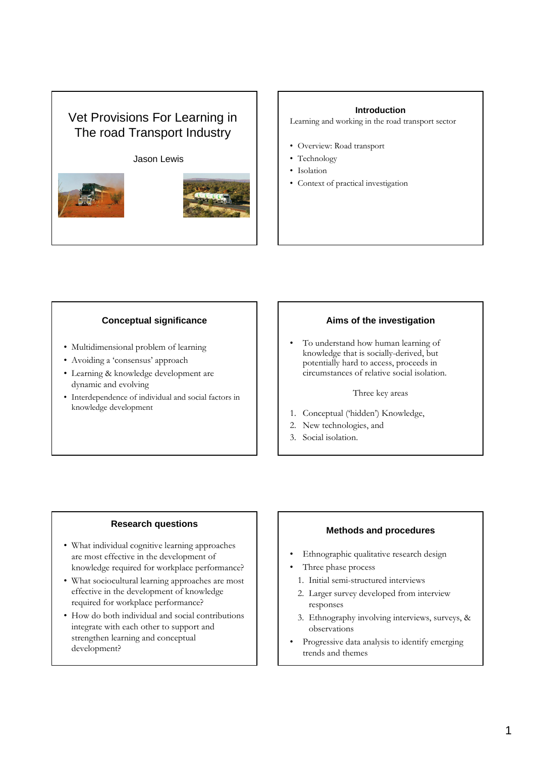## Vet Provisions For Learning in The road Transport Industry

#### Jason Lewis



#### **Introduction**

Learning and working in the road transport sector

- Overview: Road transport
- Technology
- Isolation
- Context of practical investigation

### **Conceptual significance**

- Multidimensional problem of learning
- Avoiding a 'consensus' approach
- Learning & knowledge development are dynamic and evolving
- Interdependence of individual and social factors in knowledge development

## **Aims of the investigation**

• To understand how human learning of knowledge that is socially-derived, but potentially hard to access, proceeds in circumstances of relative social isolation.

Three key areas

- 1. Conceptual ('hidden') Knowledge,
- 2. New technologies, and
- 3. Social isolation.

## **Research questions**

- What individual cognitive learning approaches are most effective in the development of knowledge required for workplace performance?
- What sociocultural learning approaches are most effective in the development of knowledge required for workplace performance?
- How do both individual and social contributions integrate with each other to support and strengthen learning and conceptual development?

#### **Methods and procedures**

- Ethnographic qualitative research design
- Three phase process
- 1. Initial semi-structured interviews
- 2. Larger survey developed from interview responses
- 3. Ethnography involving interviews, surveys, & observations
- Progressive data analysis to identify emerging trends and themes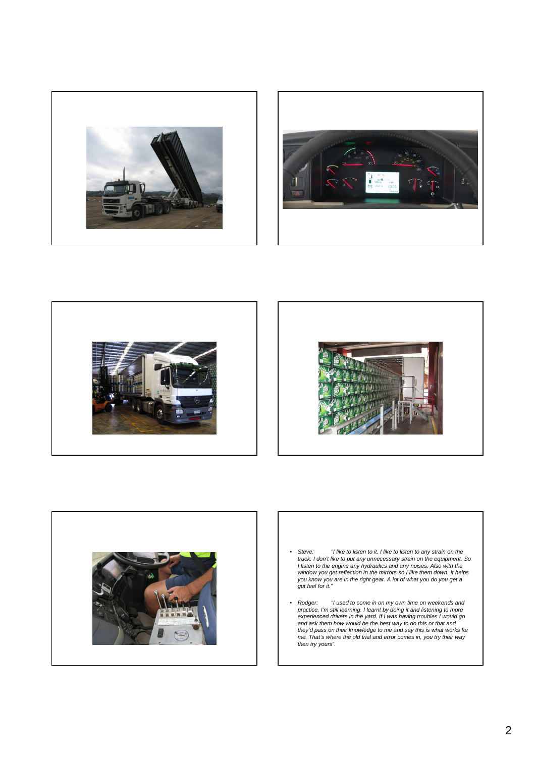









- Steve: "I like to listen to it. I like to listen to any strain on the<br>truck. I don't like to put any unnecessary strain on the equipment. So<br>I listen to the engine any hydraulics and any noises. Also with the<br>window you you know you are in the right gear. A lot of what you do you get a gut feel for it."
- Rodger: "I used to come in on my own time on weekends and<br>practice. I'm still learning, I learnt by doing it and listening to more<br>experienced drivers in the yard. If I was having troubles I would go<br>and ask them how wou